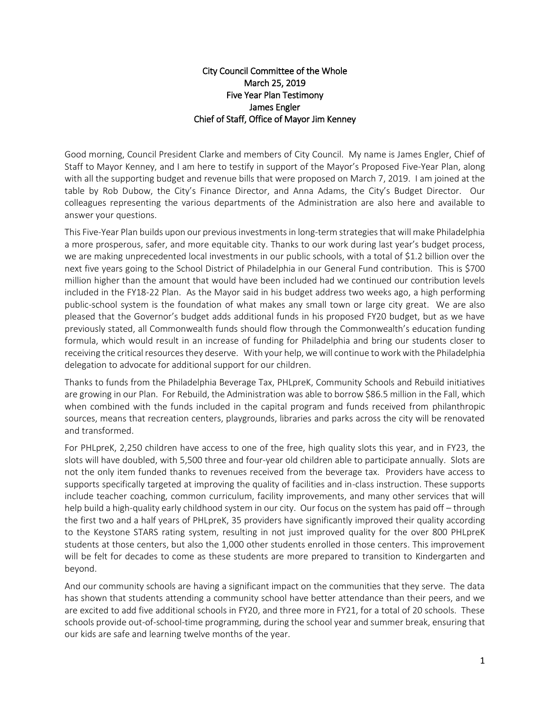## City Council Committee of the Whole March 25, 2019 Five Year Plan Testimony James Engler Chief of Staff, Office of Mayor Jim Kenney

Good morning, Council President Clarke and members of City Council. My name is James Engler, Chief of Staff to Mayor Kenney, and I am here to testify in support of the Mayor's Proposed Five-Year Plan, along with all the supporting budget and revenue bills that were proposed on March 7, 2019. I am joined at the table by Rob Dubow, the City's Finance Director, and Anna Adams, the City's Budget Director. Our colleagues representing the various departments of the Administration are also here and available to answer your questions.

This Five-Year Plan builds upon our previous investments in long-term strategies that will make Philadelphia a more prosperous, safer, and more equitable city. Thanks to our work during last year's budget process, we are making unprecedented local investments in our public schools, with a total of \$1.2 billion over the next five years going to the School District of Philadelphia in our General Fund contribution. This is \$700 million higher than the amount that would have been included had we continued our contribution levels included in the FY18-22 Plan. As the Mayor said in his budget address two weeks ago, a high performing public-school system is the foundation of what makes any small town or large city great. We are also pleased that the Governor's budget adds additional funds in his proposed FY20 budget, but as we have previously stated, all Commonwealth funds should flow through the Commonwealth's education funding formula, which would result in an increase of funding for Philadelphia and bring our students closer to receiving the critical resources they deserve. With your help, we will continue to work with the Philadelphia delegation to advocate for additional support for our children.

Thanks to funds from the Philadelphia Beverage Tax, PHLpreK, Community Schools and Rebuild initiatives are growing in our Plan. For Rebuild, the Administration was able to borrow \$86.5 million in the Fall, which when combined with the funds included in the capital program and funds received from philanthropic sources, means that recreation centers, playgrounds, libraries and parks across the city will be renovated and transformed.

For PHLpreK, 2,250 children have access to one of the free, high quality slots this year, and in FY23, the slots will have doubled, with 5,500 three and four-year old children able to participate annually. Slots are not the only item funded thanks to revenues received from the beverage tax. Providers have access to supports specifically targeted at improving the quality of facilities and in-class instruction. These supports include teacher coaching, common curriculum, facility improvements, and many other services that will help build a high-quality early childhood system in our city. Our focus on the system has paid off – through the first two and a half years of PHLpreK, 35 providers have significantly improved their quality according to the Keystone STARS rating system, resulting in not just improved quality for the over 800 PHLpreK students at those centers, but also the 1,000 other students enrolled in those centers. This improvement will be felt for decades to come as these students are more prepared to transition to Kindergarten and beyond.

And our community schools are having a significant impact on the communities that they serve. The data has shown that students attending a community school have better attendance than their peers, and we are excited to add five additional schools in FY20, and three more in FY21, for a total of 20 schools. These schools provide out-of-school-time programming, during the school year and summer break, ensuring that our kids are safe and learning twelve months of the year.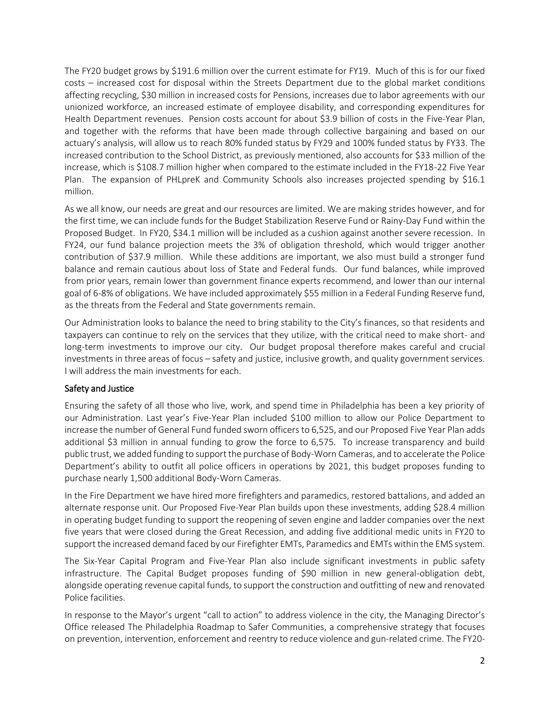The FY20 budget grows by \$191.6 million over the current estimate for FY19. Much of this is for our fixed costs – increased cost for disposal within the Streets Department due to the global market conditions affecting recycling, \$30 million in increased costs for Pensions, increases due to labor agreements with our unionized workforce, an increased estimate of employee disability, and corresponding expenditures for Health Department revenues. Pension costs account for about \$3.9 billion of costs in the Five-Year Plan, and together with the reforms that have been made through collective bargaining and based on our actuary's analysis, will allow us to reach 80% funded status by FY29 and 100% funded status by FY33. The increased contribution to the School District, as previously mentioned, also accounts for \$33 million of the increase, which is \$108.7 million higher when compared to the estimate included in the FY18-22 Five Year Plan. The expansion of PHLpreK and Community Schools also increases projected spending by \$16.1 million.

As we all know, our needs are great and our resources are limited. We are making strides however, and for the first time, we can include funds for the Budget Stabilization Reserve Fund or Rainy-Day Fund within the Proposed Budget. In FY20, \$34.1 million will be included as a cushion against another severe recession. In FY24, our fund balance projection meets the 3% of obligation threshold, which would trigger another contribution of \$37.9 million. While these additions are important, we also must build a stronger fund balance and remain cautious about loss of State and Federal funds. Our fund balances, while improved from prior years, remain lower than government finance experts recommend, and lower than our internal goal of 6-8% of obligations. We have included approximately \$55 million in a Federal Funding Reserve fund, as the threats from the Federal and State governments remain.

Our Administration looks to balance the need to bring stability to the City's finances, so that residents and taxpayers can continue to rely on the services that they utilize, with the critical need to make short- and long-term investments to improve our city. Our budget proposal therefore makes careful and crucial investments in three areas of focus – safety and justice, inclusive growth, and quality government services. I will address the main investments for each.

## Safety and Justice

Ensuring the safety of all those who live, work, and spend time in Philadelphia has been a key priority of our Administration. Last year's Five-Year Plan included \$100 million to allow our Police Department to increase the number of General Fund funded sworn officers to 6,525, and our Proposed Five Year Plan adds additional \$3 million in annual funding to grow the force to 6,575. To increase transparency and build public trust, we added funding to support the purchase of Body-Worn Cameras, and to accelerate the Police Department's ability to outfit all police officers in operations by 2021, this budget proposes funding to purchase nearly 1,500 additional Body-Worn Cameras.

In the Fire Department we have hired more firefighters and paramedics, restored battalions, and added an alternate response unit. Our Proposed Five-Year Plan builds upon these investments, adding \$28.4 million in operating budget funding to support the reopening of seven engine and ladder companies over the next five years that were closed during the Great Recession, and adding five additional medic units in FY20 to support the increased demand faced by our Firefighter EMTs, Paramedics and EMTs within the EMS system.

The Six-Year Capital Program and Five-Year Plan also include significant investments in public safety infrastructure. The Capital Budget proposes funding of \$90 million in new general-obligation debt, alongside operating revenue capital funds, to support the construction and outfitting of new and renovated Police facilities.

In response to the Mayor's urgent "call to action" to address violence in the city, the Managing Director's Office released The Philadelphia Roadmap to Safer Communities, a comprehensive strategy that focuses on prevention, intervention, enforcement and reentry to reduce violence and gun-related crime. The FY20-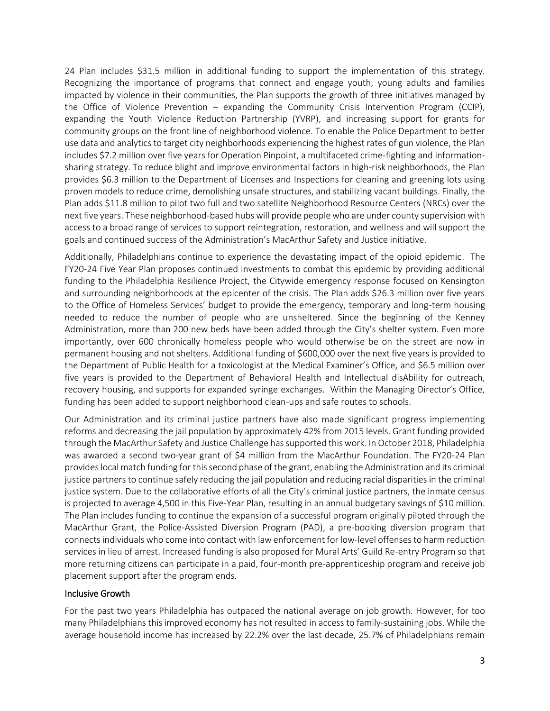24 Plan includes \$31.5 million in additional funding to support the implementation of this strategy. Recognizing the importance of programs that connect and engage youth, young adults and families impacted by violence in their communities, the Plan supports the growth of three initiatives managed by the Office of Violence Prevention – expanding the Community Crisis Intervention Program (CCIP), expanding the Youth Violence Reduction Partnership (YVRP), and increasing support for grants for community groups on the front line of neighborhood violence. To enable the Police Department to better use data and analytics to target city neighborhoods experiencing the highest rates of gun violence, the Plan includes \$7.2 million over five years for Operation Pinpoint, a multifaceted crime-fighting and informationsharing strategy. To reduce blight and improve environmental factors in high-risk neighborhoods, the Plan provides \$6.3 million to the Department of Licenses and Inspections for cleaning and greening lots using proven models to reduce crime, demolishing unsafe structures, and stabilizing vacant buildings. Finally, the Plan adds \$11.8 million to pilot two full and two satellite Neighborhood Resource Centers (NRCs) over the next five years. These neighborhood-based hubs will provide people who are under county supervision with access to a broad range of services to support reintegration, restoration, and wellness and will support the goals and continued success of the Administration's MacArthur Safety and Justice initiative.

Additionally, Philadelphians continue to experience the devastating impact of the opioid epidemic. The FY20-24 Five Year Plan proposes continued investments to combat this epidemic by providing additional funding to the Philadelphia Resilience Project, the Citywide emergency response focused on Kensington and surrounding neighborhoods at the epicenter of the crisis. The Plan adds \$26.3 million over five years to the Office of Homeless Services' budget to provide the emergency, temporary and long-term housing needed to reduce the number of people who are unsheltered. Since the beginning of the Kenney Administration, more than 200 new beds have been added through the City's shelter system. Even more importantly, over 600 chronically homeless people who would otherwise be on the street are now in permanent housing and not shelters. Additional funding of \$600,000 over the next five years is provided to the Department of Public Health for a toxicologist at the Medical Examiner's Office, and \$6.5 million over five years is provided to the Department of Behavioral Health and Intellectual disAbility for outreach, recovery housing, and supports for expanded syringe exchanges. Within the Managing Director's Office, funding has been added to support neighborhood clean-ups and safe routes to schools.

Our Administration and its criminal justice partners have also made significant progress implementing reforms and decreasing the jail population by approximately 42% from 2015 levels. Grant funding provided through the MacArthur Safety and Justice Challenge has supported this work. In October 2018, Philadelphia was awarded a second two-year grant of \$4 million from the MacArthur Foundation. The FY20-24 Plan provides local match funding for this second phase of the grant, enabling the Administration and its criminal justice partners to continue safely reducing the jail population and reducing racial disparities in the criminal justice system. Due to the collaborative efforts of all the City's criminal justice partners, the inmate census is projected to average 4,500 in this Five-Year Plan, resulting in an annual budgetary savings of \$10 million. The Plan includes funding to continue the expansion of a successful program originally piloted through the MacArthur Grant, the Police-Assisted Diversion Program (PAD), a pre-booking diversion program that connects individuals who come into contact with law enforcement for low-level offenses to harm reduction services in lieu of arrest. Increased funding is also proposed for Mural Arts' Guild Re-entry Program so that more returning citizens can participate in a paid, four-month pre-apprenticeship program and receive job placement support after the program ends.

## Inclusive Growth

For the past two years Philadelphia has outpaced the national average on job growth. However, for too many Philadelphians this improved economy has not resulted in access to family-sustaining jobs. While the average household income has increased by 22.2% over the last decade, 25.7% of Philadelphians remain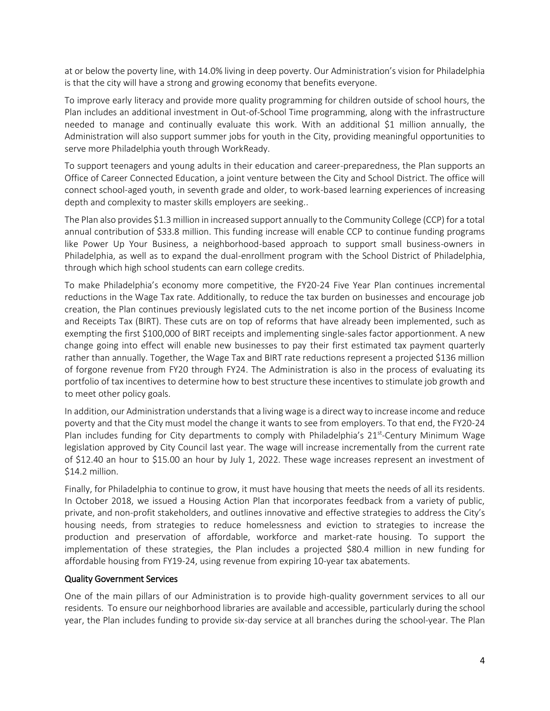at or below the poverty line, with 14.0% living in deep poverty. Our Administration's vision for Philadelphia is that the city will have a strong and growing economy that benefits everyone.

To improve early literacy and provide more quality programming for children outside of school hours, the Plan includes an additional investment in Out-of-School Time programming, along with the infrastructure needed to manage and continually evaluate this work. With an additional \$1 million annually, the Administration will also support summer jobs for youth in the City, providing meaningful opportunities to serve more Philadelphia youth through WorkReady.

To support teenagers and young adults in their education and career-preparedness, the Plan supports an Office of Career Connected Education, a joint venture between the City and School District. The office will connect school-aged youth, in seventh grade and older, to work-based learning experiences of increasing depth and complexity to master skills employers are seeking..

The Plan also provides \$1.3 million in increased support annually to the Community College (CCP) for a total annual contribution of \$33.8 million. This funding increase will enable CCP to continue funding programs like Power Up Your Business, a neighborhood-based approach to support small business-owners in Philadelphia, as well as to expand the dual-enrollment program with the School District of Philadelphia, through which high school students can earn college credits.

To make Philadelphia's economy more competitive, the FY20-24 Five Year Plan continues incremental reductions in the Wage Tax rate. Additionally, to reduce the tax burden on businesses and encourage job creation, the Plan continues previously legislated cuts to the net income portion of the Business Income and Receipts Tax (BIRT). These cuts are on top of reforms that have already been implemented, such as exempting the first \$100,000 of BIRT receipts and implementing single-sales factor apportionment. A new change going into effect will enable new businesses to pay their first estimated tax payment quarterly rather than annually. Together, the Wage Tax and BIRT rate reductions represent a projected \$136 million of forgone revenue from FY20 through FY24. The Administration is also in the process of evaluating its portfolio of tax incentives to determine how to best structure these incentives to stimulate job growth and to meet other policy goals.

In addition, our Administration understands that a living wage is a direct way to increase income and reduce poverty and that the City must model the change it wants to see from employers. To that end, the FY20-24 Plan includes funding for City departments to comply with Philadelphia's  $21<sup>st</sup>$ -Century Minimum Wage legislation approved by City Council last year. The wage will increase incrementally from the current rate of \$12.40 an hour to \$15.00 an hour by July 1, 2022. These wage increases represent an investment of \$14.2 million.

Finally, for Philadelphia to continue to grow, it must have housing that meets the needs of all its residents. In October 2018, we issued a Housing Action Plan that incorporates feedback from a variety of public, private, and non-profit stakeholders, and outlines innovative and effective strategies to address the City's housing needs, from strategies to reduce homelessness and eviction to strategies to increase the production and preservation of affordable, workforce and market-rate housing. To support the implementation of these strategies, the Plan includes a projected \$80.4 million in new funding for affordable housing from FY19-24, using revenue from expiring 10-year tax abatements.

## Quality Government Services

One of the main pillars of our Administration is to provide high-quality government services to all our residents. To ensure our neighborhood libraries are available and accessible, particularly during the school year, the Plan includes funding to provide six-day service at all branches during the school-year. The Plan